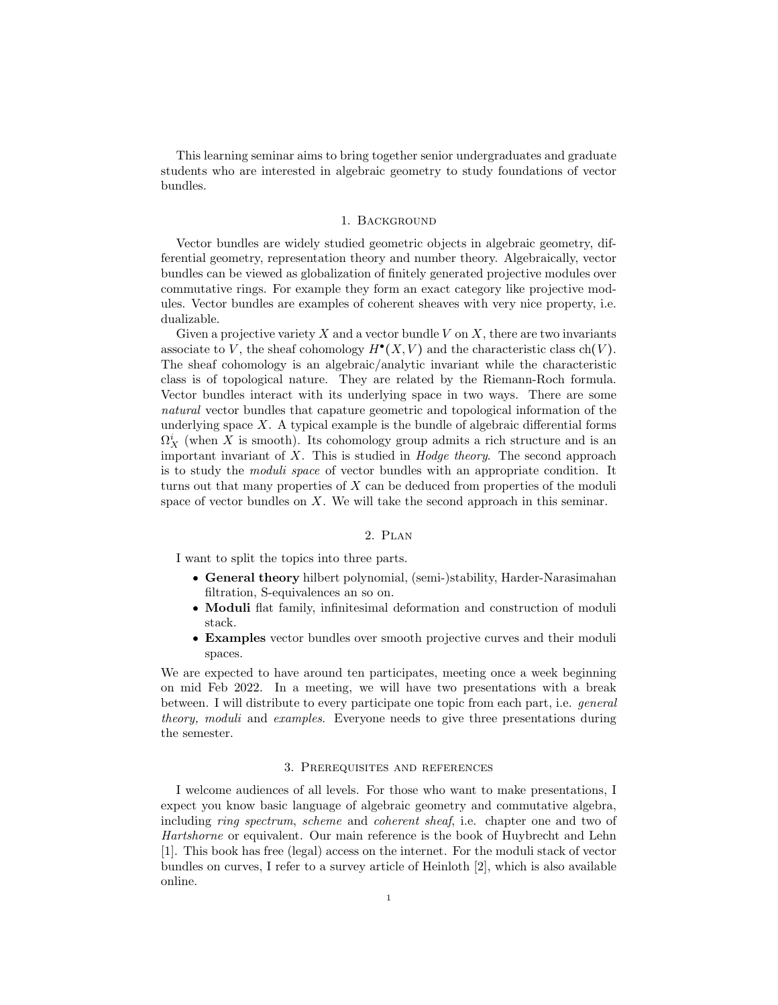This learning seminar aims to bring together senior undergraduates and graduate students who are interested in algebraic geometry to study foundations of vector bundles.

## 1. Background

Vector bundles are widely studied geometric objects in algebraic geometry, differential geometry, representation theory and number theory. Algebraically, vector bundles can be viewed as globalization of finitely generated projective modules over commutative rings. For example they form an exact category like projective modules. Vector bundles are examples of coherent sheaves with very nice property, i.e. dualizable.

Given a projective variety  $X$  and a vector bundle  $V$  on  $X$ , there are two invariants associate to V, the sheaf cohomology  $H^{\bullet}(X, V)$  and the characteristic class ch(V). The sheaf cohomology is an algebraic/analytic invariant while the characteristic class is of topological nature. They are related by the Riemann-Roch formula. Vector bundles interact with its underlying space in two ways. There are some natural vector bundles that capature geometric and topological information of the underlying space  $X$ . A typical example is the bundle of algebraic differential forms  $\Omega_X^i$  (when X is smooth). Its cohomology group admits a rich structure and is an important invariant of  $X$ . This is studied in *Hodge theory*. The second approach is to study the moduli space of vector bundles with an appropriate condition. It turns out that many properties of  $X$  can be deduced from properties of the moduli space of vector bundles on  $X$ . We will take the second approach in this seminar.

## 2. Plan

I want to split the topics into three parts.

- General theory hilbert polynomial, (semi-)stability, Harder-Narasimahan filtration, S-equivalences an so on.
- Moduli flat family, infinitesimal deformation and construction of moduli stack.
- Examples vector bundles over smooth projective curves and their moduli spaces.

We are expected to have around ten participates, meeting once a week beginning on mid Feb 2022. In a meeting, we will have two presentations with a break between. I will distribute to every participate one topic from each part, i.e. general theory, moduli and examples. Everyone needs to give three presentations during the semester.

## 3. Prerequisites and references

I welcome audiences of all levels. For those who want to make presentations, I expect you know basic language of algebraic geometry and commutative algebra, including ring spectrum, scheme and coherent sheaf, i.e. chapter one and two of Hartshorne or equivalent. Our main reference is the book of Huybrecht and Lehn [1]. This book has free (legal) access on the internet. For the moduli stack of vector bundles on curves, I refer to a survey article of Heinloth [2], which is also available online.